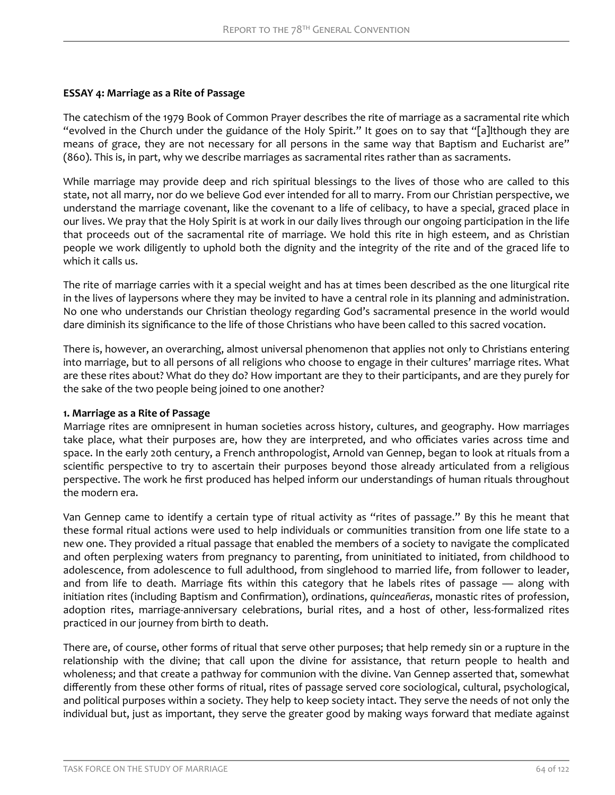### **ESSAY 4: Marriage as a Rite of Passage**

The catechism of the 1979 Book of Common Prayer describes the rite of marriage as a sacramental rite which "evolved in the Church under the guidance of the Holy Spirit." It goes on to say that "[a]lthough they are means of grace, they are not necessary for all persons in the same way that Baptism and Eucharist are" (860). This is, in part, why we describe marriages as sacramental rites rather than as sacraments.

While marriage may provide deep and rich spiritual blessings to the lives of those who are called to this state, not all marry, nor do we believe God ever intended for all to marry. From our Christian perspective, we understand the marriage covenant, like the covenant to a life of celibacy, to have a special, graced place in our lives. We pray that the Holy Spirit is at work in our daily lives through our ongoing participation in the life that proceeds out of the sacramental rite of marriage. We hold this rite in high esteem, and as Christian people we work diligently to uphold both the dignity and the integrity of the rite and of the graced life to which it calls us.

The rite of marriage carries with it a special weight and has at times been described as the one liturgical rite in the lives of laypersons where they may be invited to have a central role in its planning and administration. No one who understands our Christian theology regarding God's sacramental presence in the world would dare diminish its significance to the life of those Christians who have been called to this sacred vocation.

There is, however, an overarching, almost universal phenomenon that applies not only to Christians entering into marriage, but to all persons of all religions who choose to engage in their cultures' marriage rites. What are these rites about? What do they do? How important are they to their participants, and are they purely for the sake of the two people being joined to one another?

#### **1. Marriage as a Rite of Passage**

Marriage rites are omnipresent in human societies across history, cultures, and geography. How marriages take place, what their purposes are, how they are interpreted, and who officiates varies across time and space. In the early 20th century, a French anthropologist, Arnold van Gennep, began to look at rituals from a scientific perspective to try to ascertain their purposes beyond those already articulated from a religious perspective. The work he first produced has helped inform our understandings of human rituals throughout the modern era.

Van Gennep came to identify a certain type of ritual activity as "rites of passage." By this he meant that these formal ritual actions were used to help individuals or communities transition from one life state to a new one. They provided a ritual passage that enabled the members of a society to navigate the complicated and often perplexing waters from pregnancy to parenting, from uninitiated to initiated, from childhood to adolescence, from adolescence to full adulthood, from singlehood to married life, from follower to leader, and from life to death. Marriage fits within this category that he labels rites of passage — along with initiation rites (including Baptism and Confirmation), ordinations, *quinceañeras*, monastic rites of profession, adoption rites, marriage-anniversary celebrations, burial rites, and a host of other, less-formalized rites practiced in our journey from birth to death.

There are, of course, other forms of ritual that serve other purposes; that help remedy sin or a rupture in the relationship with the divine; that call upon the divine for assistance, that return people to health and wholeness; and that create a pathway for communion with the divine. Van Gennep asserted that, somewhat differently from these other forms of ritual, rites of passage served core sociological, cultural, psychological, and political purposes within a society. They help to keep society intact. They serve the needs of not only the individual but, just as important, they serve the greater good by making ways forward that mediate against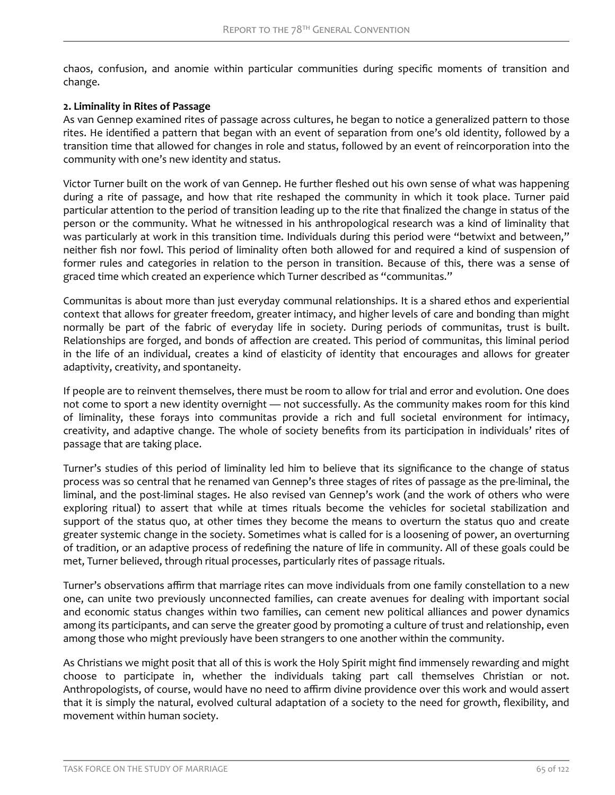chaos, confusion, and anomie within particular communities during specific moments of transition and change.

#### **2. Liminality in Rites of Passage**

As van Gennep examined rites of passage across cultures, he began to notice a generalized pattern to those rites. He identified a pattern that began with an event of separation from one's old identity, followed by a transition time that allowed for changes in role and status, followed by an event of reincorporation into the community with one's new identity and status.

Victor Turner built on the work of van Gennep. He further fleshed out his own sense of what was happening during a rite of passage, and how that rite reshaped the community in which it took place. Turner paid particular attention to the period of transition leading up to the rite that finalized the change in status of the person or the community. What he witnessed in his anthropological research was a kind of liminality that was particularly at work in this transition time. Individuals during this period were "betwixt and between," neither fish nor fowl. This period of liminality often both allowed for and required a kind of suspension of former rules and categories in relation to the person in transition. Because of this, there was a sense of graced time which created an experience which Turner described as "communitas."

Communitas is about more than just everyday communal relationships. It is a shared ethos and experiential context that allows for greater freedom, greater intimacy, and higher levels of care and bonding than might normally be part of the fabric of everyday life in society. During periods of communitas, trust is built. Relationships are forged, and bonds of affection are created. This period of communitas, this liminal period in the life of an individual, creates a kind of elasticity of identity that encourages and allows for greater adaptivity, creativity, and spontaneity.

If people are to reinvent themselves, there must be room to allow for trial and error and evolution. One does not come to sport a new identity overnight — not successfully. As the community makes room for this kind of liminality, these forays into communitas provide a rich and full societal environment for intimacy, creativity, and adaptive change. The whole of society benefits from its participation in individuals' rites of passage that are taking place.

Turner's studies of this period of liminality led him to believe that its significance to the change of status process was so central that he renamed van Gennep's three stages of rites of passage as the pre-liminal, the liminal, and the post-liminal stages. He also revised van Gennep's work (and the work of others who were exploring ritual) to assert that while at times rituals become the vehicles for societal stabilization and support of the status quo, at other times they become the means to overturn the status quo and create greater systemic change in the society. Sometimes what is called for is a loosening of power, an overturning of tradition, or an adaptive process of redefining the nature of life in community. All of these goals could be met, Turner believed, through ritual processes, particularly rites of passage rituals.

Turner's observations affirm that marriage rites can move individuals from one family constellation to a new one, can unite two previously unconnected families, can create avenues for dealing with important social and economic status changes within two families, can cement new political alliances and power dynamics among its participants, and can serve the greater good by promoting a culture of trust and relationship, even among those who might previously have been strangers to one another within the community.

As Christians we might posit that all of this is work the Holy Spirit might find immensely rewarding and might choose to participate in, whether the individuals taking part call themselves Christian or not. Anthropologists, of course, would have no need to affirm divine providence over this work and would assert that it is simply the natural, evolved cultural adaptation of a society to the need for growth, flexibility, and movement within human society.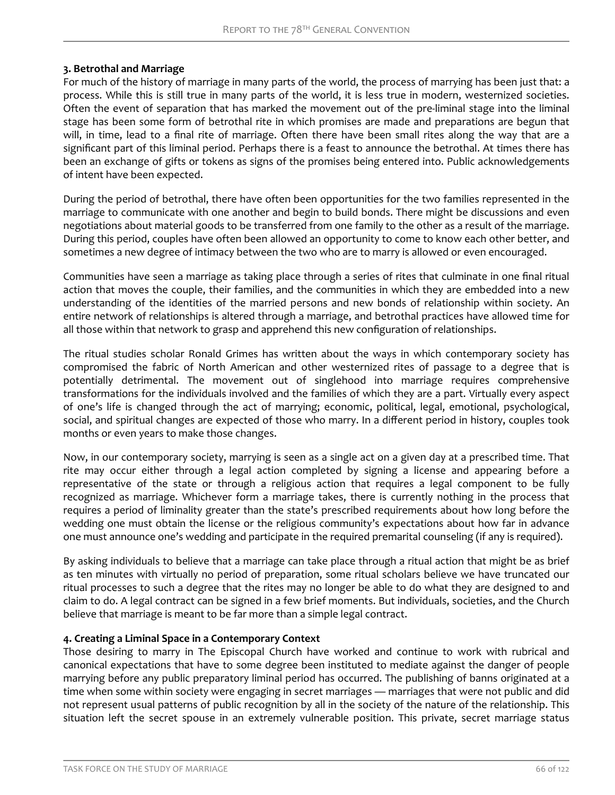# **3. Betrothal and Marriage**

For much of the history of marriage in many parts of the world, the process of marrying has been just that: a process. While this is still true in many parts of the world, it is less true in modern, westernized societies. Often the event of separation that has marked the movement out of the pre-liminal stage into the liminal stage has been some form of betrothal rite in which promises are made and preparations are begun that will, in time, lead to a final rite of marriage. Often there have been small rites along the way that are a significant part of this liminal period. Perhaps there is a feast to announce the betrothal. At times there has been an exchange of gifts or tokens as signs of the promises being entered into. Public acknowledgements of intent have been expected.

During the period of betrothal, there have often been opportunities for the two families represented in the marriage to communicate with one another and begin to build bonds. There might be discussions and even negotiations about material goods to be transferred from one family to the other as a result of the marriage. During this period, couples have often been allowed an opportunity to come to know each other better, and sometimes a new degree of intimacy between the two who are to marry is allowed or even encouraged.

Communities have seen a marriage as taking place through a series of rites that culminate in one final ritual action that moves the couple, their families, and the communities in which they are embedded into a new understanding of the identities of the married persons and new bonds of relationship within society. An entire network of relationships is altered through a marriage, and betrothal practices have allowed time for all those within that network to grasp and apprehend this new configuration of relationships.

The ritual studies scholar Ronald Grimes has written about the ways in which contemporary society has compromised the fabric of North American and other westernized rites of passage to a degree that is potentially detrimental. The movement out of singlehood into marriage requires comprehensive transformations for the individuals involved and the families of which they are a part. Virtually every aspect of one's life is changed through the act of marrying; economic, political, legal, emotional, psychological, social, and spiritual changes are expected of those who marry. In a different period in history, couples took months or even years to make those changes.

Now, in our contemporary society, marrying is seen as a single act on a given day at a prescribed time. That rite may occur either through a legal action completed by signing a license and appearing before a representative of the state or through a religious action that requires a legal component to be fully recognized as marriage. Whichever form a marriage takes, there is currently nothing in the process that requires a period of liminality greater than the state's prescribed requirements about how long before the wedding one must obtain the license or the religious community's expectations about how far in advance one must announce one's wedding and participate in the required premarital counseling (if any is required).

By asking individuals to believe that a marriage can take place through a ritual action that might be as brief as ten minutes with virtually no period of preparation, some ritual scholars believe we have truncated our ritual processes to such a degree that the rites may no longer be able to do what they are designed to and claim to do. A legal contract can be signed in a few brief moments. But individuals, societies, and the Church believe that marriage is meant to be far more than a simple legal contract.

# **4. Creating a Liminal Space in a Contemporary Context**

Those desiring to marry in The Episcopal Church have worked and continue to work with rubrical and canonical expectations that have to some degree been instituted to mediate against the danger of people marrying before any public preparatory liminal period has occurred. The publishing of banns originated at a time when some within society were engaging in secret marriages — marriages that were not public and did not represent usual patterns of public recognition by all in the society of the nature of the relationship. This situation left the secret spouse in an extremely vulnerable position. This private, secret marriage status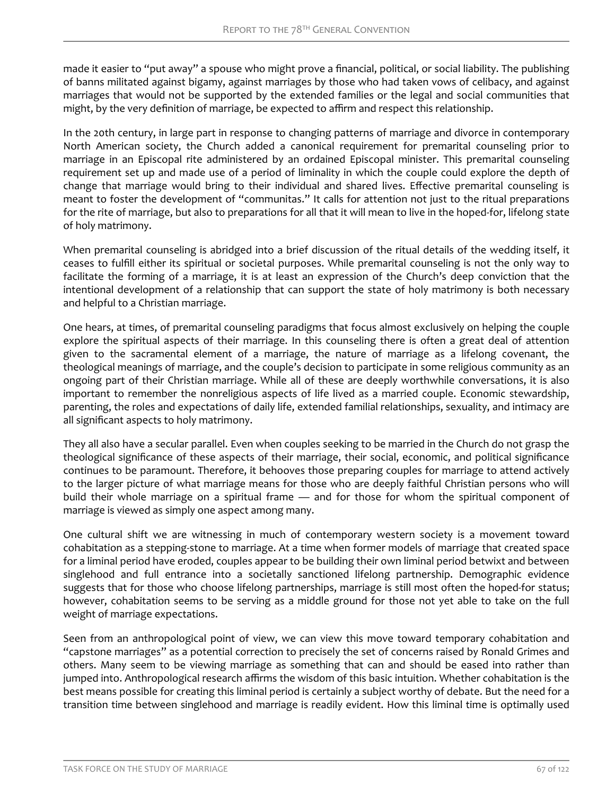made it easier to "put away" a spouse who might prove a financial, political, or social liability. The publishing of banns militated against bigamy, against marriages by those who had taken vows of celibacy, and against marriages that would not be supported by the extended families or the legal and social communities that might, by the very definition of marriage, be expected to affirm and respect this relationship.

In the 20th century, in large part in response to changing patterns of marriage and divorce in contemporary North American society, the Church added a canonical requirement for premarital counseling prior to marriage in an Episcopal rite administered by an ordained Episcopal minister. This premarital counseling requirement set up and made use of a period of liminality in which the couple could explore the depth of change that marriage would bring to their individual and shared lives. Effective premarital counseling is meant to foster the development of "communitas." It calls for attention not just to the ritual preparations for the rite of marriage, but also to preparations for all that it will mean to live in the hoped-for, lifelong state of holy matrimony.

When premarital counseling is abridged into a brief discussion of the ritual details of the wedding itself, it ceases to fulfill either its spiritual or societal purposes. While premarital counseling is not the only way to facilitate the forming of a marriage, it is at least an expression of the Church's deep conviction that the intentional development of a relationship that can support the state of holy matrimony is both necessary and helpful to a Christian marriage.

One hears, at times, of premarital counseling paradigms that focus almost exclusively on helping the couple explore the spiritual aspects of their marriage. In this counseling there is often a great deal of attention given to the sacramental element of a marriage, the nature of marriage as a lifelong covenant, the theological meanings of marriage, and the couple's decision to participate in some religious community as an ongoing part of their Christian marriage. While all of these are deeply worthwhile conversations, it is also important to remember the nonreligious aspects of life lived as a married couple. Economic stewardship, parenting, the roles and expectations of daily life, extended familial relationships, sexuality, and intimacy are all significant aspects to holy matrimony.

They all also have a secular parallel. Even when couples seeking to be married in the Church do not grasp the theological significance of these aspects of their marriage, their social, economic, and political significance continues to be paramount. Therefore, it behooves those preparing couples for marriage to attend actively to the larger picture of what marriage means for those who are deeply faithful Christian persons who will build their whole marriage on a spiritual frame - and for those for whom the spiritual component of marriage is viewed as simply one aspect among many.

One cultural shift we are witnessing in much of contemporary western society is a movement toward cohabitation as a stepping-stone to marriage. At a time when former models of marriage that created space for a liminal period have eroded, couples appear to be building their own liminal period betwixt and between singlehood and full entrance into a societally sanctioned lifelong partnership. Demographic evidence suggests that for those who choose lifelong partnerships, marriage is still most often the hoped-for status; however, cohabitation seems to be serving as a middle ground for those not yet able to take on the full weight of marriage expectations.

Seen from an anthropological point of view, we can view this move toward temporary cohabitation and "capstone marriages" as a potential correction to precisely the set of concerns raised by Ronald Grimes and others. Many seem to be viewing marriage as something that can and should be eased into rather than jumped into. Anthropological research affirms the wisdom of this basic intuition. Whether cohabitation is the best means possible for creating this liminal period is certainly a subject worthy of debate. But the need for a transition time between singlehood and marriage is readily evident. How this liminal time is optimally used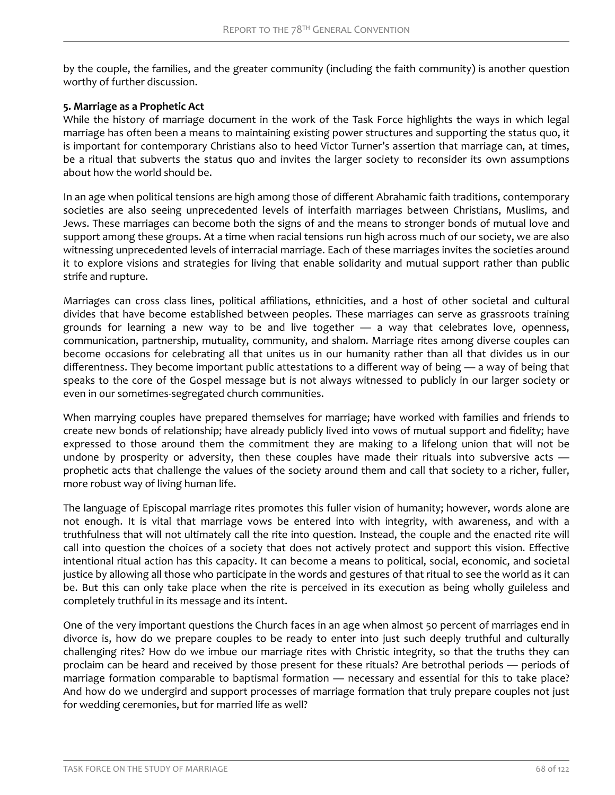by the couple, the families, and the greater community (including the faith community) is another question worthy of further discussion.

### **5. Marriage as a Prophetic Act**

While the history of marriage document in the work of the Task Force highlights the ways in which legal marriage has often been a means to maintaining existing power structures and supporting the status quo, it is important for contemporary Christians also to heed Victor Turner's assertion that marriage can, at times, be a ritual that subverts the status quo and invites the larger society to reconsider its own assumptions about how the world should be.

In an age when political tensions are high among those of different Abrahamic faith traditions, contemporary societies are also seeing unprecedented levels of interfaith marriages between Christians, Muslims, and Jews. These marriages can become both the signs of and the means to stronger bonds of mutual love and support among these groups. At a time when racial tensions run high across much of our society, we are also witnessing unprecedented levels of interracial marriage. Each of these marriages invites the societies around it to explore visions and strategies for living that enable solidarity and mutual support rather than public strife and rupture.

Marriages can cross class lines, political affiliations, ethnicities, and a host of other societal and cultural divides that have become established between peoples. These marriages can serve as grassroots training grounds for learning a new way to be and live together — a way that celebrates love, openness, communication, partnership, mutuality, community, and shalom. Marriage rites among diverse couples can become occasions for celebrating all that unites us in our humanity rather than all that divides us in our differentness. They become important public attestations to a different way of being — a way of being that speaks to the core of the Gospel message but is not always witnessed to publicly in our larger society or even in our sometimes-segregated church communities.

When marrying couples have prepared themselves for marriage; have worked with families and friends to create new bonds of relationship; have already publicly lived into vows of mutual support and fidelity; have expressed to those around them the commitment they are making to a lifelong union that will not be undone by prosperity or adversity, then these couples have made their rituals into subversive acts prophetic acts that challenge the values of the society around them and call that society to a richer, fuller, more robust way of living human life.

The language of Episcopal marriage rites promotes this fuller vision of humanity; however, words alone are not enough. It is vital that marriage vows be entered into with integrity, with awareness, and with a truthfulness that will not ultimately call the rite into question. Instead, the couple and the enacted rite will call into question the choices of a society that does not actively protect and support this vision. Effective intentional ritual action has this capacity. It can become a means to political, social, economic, and societal justice by allowing all those who participate in the words and gestures of that ritual to see the world as it can be. But this can only take place when the rite is perceived in its execution as being wholly guileless and completely truthful in its message and its intent.

One of the very important questions the Church faces in an age when almost 50 percent of marriages end in divorce is, how do we prepare couples to be ready to enter into just such deeply truthful and culturally challenging rites? How do we imbue our marriage rites with Christic integrity, so that the truths they can proclaim can be heard and received by those present for these rituals? Are betrothal periods — periods of marriage formation comparable to baptismal formation — necessary and essential for this to take place? And how do we undergird and support processes of marriage formation that truly prepare couples not just for wedding ceremonies, but for married life as well?